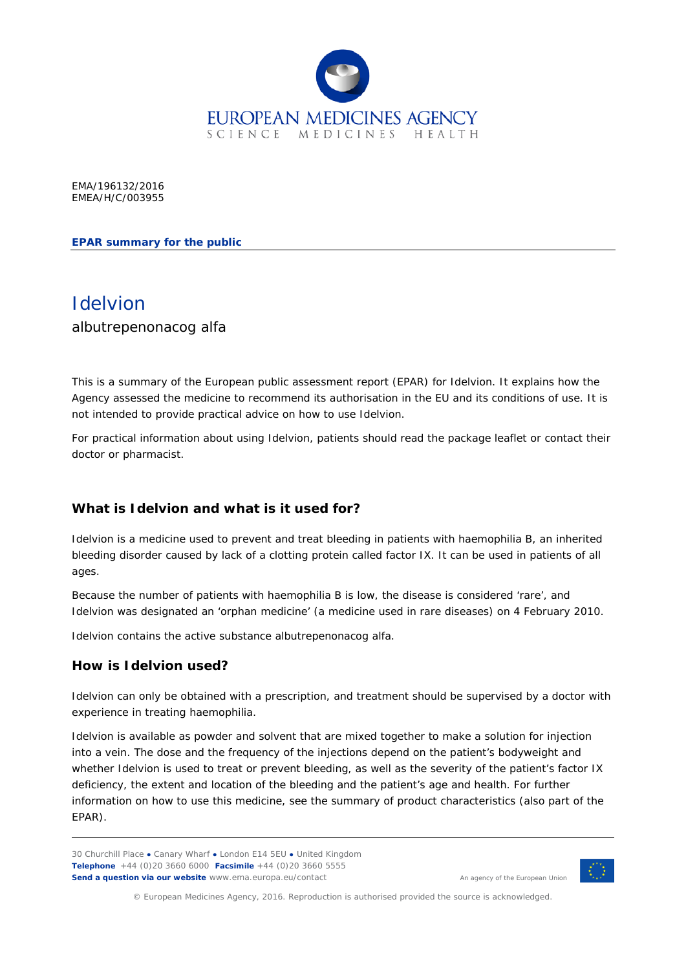

EMA/196132/2016 EMEA/H/C/003955

**EPAR summary for the public**

# Idelvion albutrepenonacog alfa

This is a summary of the European public assessment report (EPAR) for Idelvion. It explains how the Agency assessed the medicine to recommend its authorisation in the EU and its conditions of use. It is not intended to provide practical advice on how to use Idelvion.

For practical information about using Idelvion, patients should read the package leaflet or contact their doctor or pharmacist.

# **What is Idelvion and what is it used for?**

Idelvion is a medicine used to prevent and treat bleeding in patients with haemophilia B, an inherited bleeding disorder caused by lack of a clotting protein called factor IX. It can be used in patients of all ages.

Because the number of patients with haemophilia B is low, the disease is considered 'rare', and Idelvion was designated an 'orphan medicine' (a medicine used in rare diseases) on 4 February 2010.

Idelvion contains the active substance albutrepenonacog alfa.

#### **How is Idelvion used?**

Idelvion can only be obtained with a prescription, and treatment should be supervised by a doctor with experience in treating haemophilia.

Idelvion is available as powder and solvent that are mixed together to make a solution for injection into a vein. The dose and the frequency of the injections depend on the patient's bodyweight and whether Idelvion is used to treat or prevent bleeding, as well as the severity of the patient's factor IX deficiency, the extent and location of the bleeding and the patient's age and health. For further information on how to use this medicine, see the summary of product characteristics (also part of the EPAR).

An agency of the European Union



© European Medicines Agency, 2016. Reproduction is authorised provided the source is acknowledged.

<sup>30</sup> Churchill Place **●** Canary Wharf **●** London E14 5EU **●** United Kingdom **Telephone** +44 (0)20 3660 6000 **Facsimile** +44 (0)20 3660 5555 **Send a question via our website** www.ema.europa.eu/contact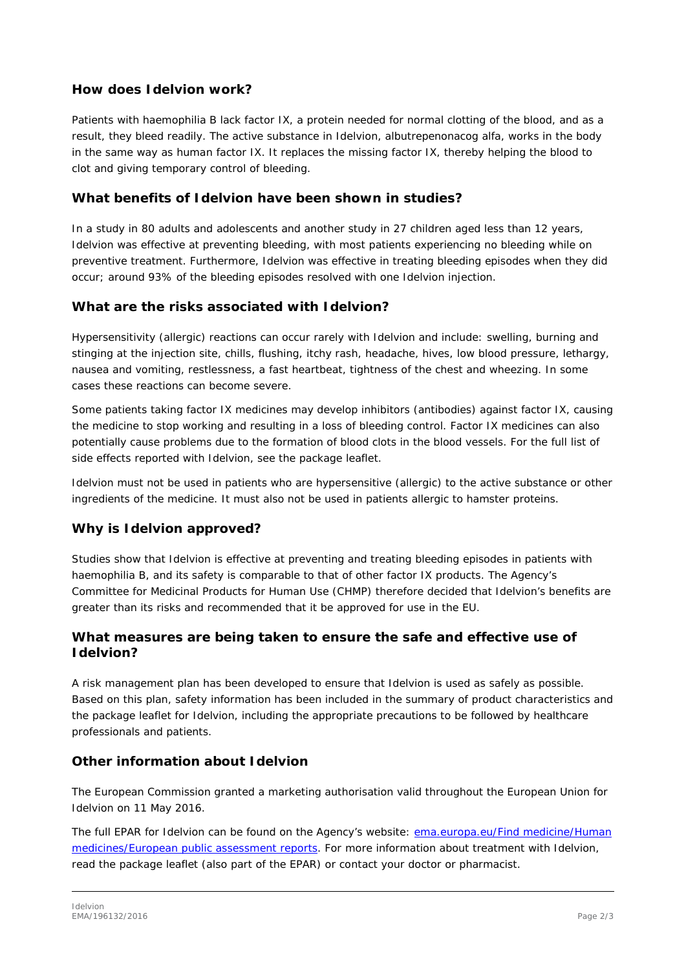# **How does Idelvion work?**

Patients with haemophilia B lack factor IX, a protein needed for normal clotting of the blood, and as a result, they bleed readily. The active substance in Idelvion, albutrepenonacog alfa, works in the body in the same way as human factor IX. It replaces the missing factor IX, thereby helping the blood to clot and giving temporary control of bleeding.

## **What benefits of Idelvion have been shown in studies?**

In a study in 80 adults and adolescents and another study in 27 children aged less than 12 years, Idelvion was effective at preventing bleeding, with most patients experiencing no bleeding while on preventive treatment. Furthermore, Idelvion was effective in treating bleeding episodes when they did occur; around 93% of the bleeding episodes resolved with one Idelvion injection.

# **What are the risks associated with Idelvion?**

Hypersensitivity (allergic) reactions can occur rarely with Idelvion and include: swelling, burning and stinging at the injection site, chills, flushing, itchy rash, headache, hives, low blood pressure, lethargy, nausea and vomiting, restlessness, a fast heartbeat, tightness of the chest and wheezing. In some cases these reactions can become severe.

Some patients taking factor IX medicines may develop inhibitors (antibodies) against factor IX, causing the medicine to stop working and resulting in a loss of bleeding control. Factor IX medicines can also potentially cause problems due to the formation of blood clots in the blood vessels. For the full list of side effects reported with Idelvion, see the package leaflet.

Idelvion must not be used in patients who are hypersensitive (allergic) to the active substance or other ingredients of the medicine. It must also not be used in patients allergic to hamster proteins.

#### **Why is Idelvion approved?**

Studies show that Idelvion is effective at preventing and treating bleeding episodes in patients with haemophilia B, and its safety is comparable to that of other factor IX products. The Agency's Committee for Medicinal Products for Human Use (CHMP) therefore decided that Idelvion's benefits are greater than its risks and recommended that it be approved for use in the EU.

### **What measures are being taken to ensure the safe and effective use of Idelvion?**

A risk management plan has been developed to ensure that Idelvion is used as safely as possible. Based on this plan, safety information has been included in the summary of product characteristics and the package leaflet for Idelvion, including the appropriate precautions to be followed by healthcare professionals and patients.

# **Other information about Idelvion**

The European Commission granted a marketing authorisation valid throughout the European Union for Idelvion on 11 May 2016.

The full EPAR for Idelvion can be found on the Agency's website: ema.europa.eu/Find medicine/Human [medicines/European public assessment reports.](http://www.ema.europa.eu/ema/index.jsp?curl=/pages/medicines/human/medicines/003955/human_med_001974.jsp) For more information about treatment with Idelvion, read the package leaflet (also part of the EPAR) or contact your doctor or pharmacist.